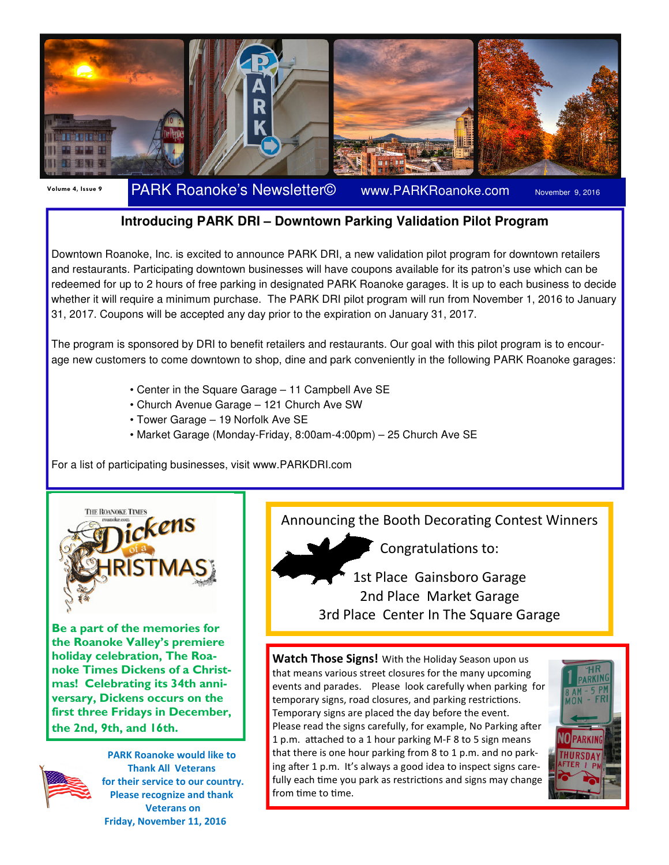

Volume 4, Issue 9 PARK Roanoke's Newsletter© www.PARKRoanoke.com November 9, 2016

## **Introducing PARK DRI – Downtown Parking Validation Pilot Program**

Downtown Roanoke, Inc. is excited to announce PARK DRI, a new validation pilot program for downtown retailers and restaurants. Participating downtown businesses will have coupons available for its patron's use which can be redeemed for up to 2 hours of free parking in designated PARK Roanoke garages. It is up to each business to decide whether it will require a minimum purchase. The PARK DRI pilot program will run from November 1, 2016 to January 31, 2017. Coupons will be accepted any day prior to the expiration on January 31, 2017.

The program is sponsored by DRI to benefit retailers and restaurants. Our goal with this pilot program is to encourage new customers to come downtown to shop, dine and park conveniently in the following PARK Roanoke garages:

- Center in the Square Garage 11 Campbell Ave SE
- Church Avenue Garage 121 Church Ave SW
- Tower Garage 19 Norfolk Ave SE
- Market Garage (Monday-Friday, 8:00am-4:00pm) 25 Church Ave SE

For a list of participating businesses, visit www.PARKDRI.com



Be a part of the memories for the Roanoke Valley's premiere holiday celebration, The Roanoke Times Dickens of a Christmas! Celebrating its 34th anniversary, Dickens occurs on the first three Fridays in December, the 2nd, 9th, and 16th.



PARK Roanoke would like to Thank All Veterans for their service to our country. Please recognize and thank Veterans on Friday, November 11, 2016

Announcing the Booth Decorating Contest Winners

 $\Gamma$  Congratulations to:

# 1st Place Gainsboro Garage 2nd Place Market Garage 3rd Place Center In The Square Garage

Watch Those Signs! With the Holiday Season upon us that means various street closures for the many upcoming events and parades. Please look carefully when parking for temporary signs, road closures, and parking restrictions. Temporary signs are placed the day before the event. Please read the signs carefully, for example, No Parking after 1 p.m. attached to a 1 hour parking M-F 8 to 5 sign means that there is one hour parking from 8 to 1 p.m. and no parking after 1 p.m. It's always a good idea to inspect signs carefully each time you park as restrictions and signs may change from time to time.

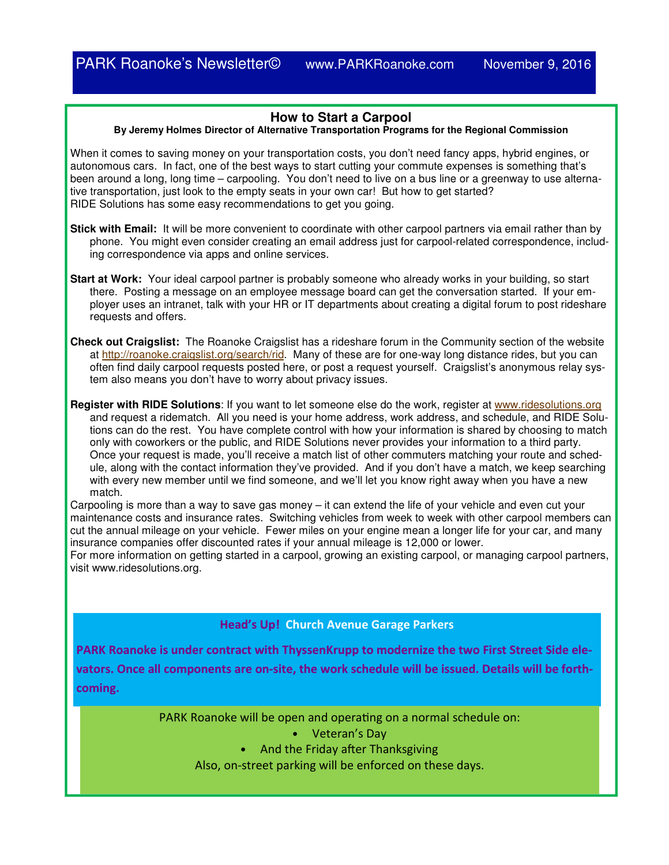## **How to Start a Carpool**

### **By Jeremy Holmes Director of Alternative Transportation Programs for the Regional Commission**

When it comes to saving money on your transportation costs, you don't need fancy apps, hybrid engines, or autonomous cars. In fact, one of the best ways to start cutting your commute expenses is something that's been around a long, long time – carpooling. You don't need to live on a bus line or a greenway to use alternative transportation, just look to the empty seats in your own car! But how to get started? RIDE Solutions has some easy recommendations to get you going.

- **Stick with Email:** It will be more convenient to coordinate with other carpool partners via email rather than by phone. You might even consider creating an email address just for carpool-related correspondence, including correspondence via apps and online services.
- **Start at Work:** Your ideal carpool partner is probably someone who already works in your building, so start there. Posting a message on an employee message board can get the conversation started. If your employer uses an intranet, talk with your HR or IT departments about creating a digital forum to post rideshare requests and offers.
- **Check out Craigslist:** The Roanoke Craigslist has a rideshare forum in the Community section of the website at http://roanoke.craigslist.org/search/rid. Many of these are for one-way long distance rides, but you can often find daily carpool requests posted here, or post a request yourself. Craigslist's anonymous relay system also means you don't have to worry about privacy issues.

**Register with RIDE Solutions**: If you want to let someone else do the work, register at www.ridesolutions.org and request a ridematch. All you need is your home address, work address, and schedule, and RIDE Solutions can do the rest. You have complete control with how your information is shared by choosing to match only with coworkers or the public, and RIDE Solutions never provides your information to a third party. Once your request is made, you'll receive a match list of other commuters matching your route and schedule, along with the contact information they've provided. And if you don't have a match, we keep searching with every new member until we find someone, and we'll let you know right away when you have a new match.

Carpooling is more than a way to save gas money – it can extend the life of your vehicle and even cut your maintenance costs and insurance rates. Switching vehicles from week to week with other carpool members can cut the annual mileage on your vehicle. Fewer miles on your engine mean a longer life for your car, and many insurance companies offer discounted rates if your annual mileage is 12,000 or lower.

For more information on getting started in a carpool, growing an existing carpool, or managing carpool partners, visit www.ridesolutions.org.

## Head's Up! Church Avenue Garage Parkers

PARK Roanoke is under contract with ThyssenKrupp to modernize the two First Street Side elevators. Once all components are on-site, the work schedule will be issued. Details will be forthcoming.

PARK Roanoke will be open and operating on a normal schedule on:

- Veteran's Day
- And the Friday after Thanksgiving

Also, on-street parking will be enforced on these days.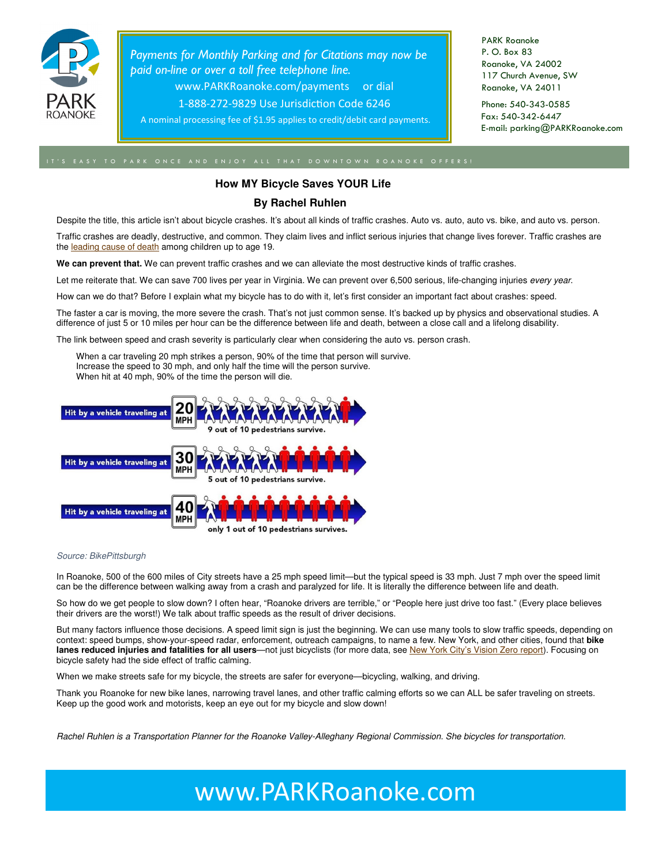

Payments for Monthly Parking and for Citations may now be paid on-line or over a toll free telephone line. www.PARKRoanoke.com/payments or dial

1-888-272-9829 Use Jurisdiction Code 6246

A nominal processing fee of \$1.95 applies to credit/debit card payments.

PARK Roanoke P. O. Box 83 Roanoke, VA 24002 117 Church Avenue, SW Roanoke, VA 24011

Phone: 540-343-0585 Fax: 540-342-6447 E-mail: parking@PARKRoanoke.com

## **How MY Bicycle Saves YOUR Life**

### **By Rachel Ruhlen**

Despite the title, this article isn't about bicycle crashes. It's about all kinds of traffic crashes. Auto vs. auto, auto vs. bike, and auto vs. person.

Traffic crashes are deadly, destructive, and common. They claim lives and inflict serious injuries that change lives forever. Traffic crashes are the leading cause of death among children up to age 19.

**We can prevent that.** We can prevent traffic crashes and we can alleviate the most destructive kinds of traffic crashes.

Let me reiterate that. We can save 700 lives per year in Virginia. We can prevent over 6,500 serious, life-changing injuries every year.

How can we do that? Before I explain what my bicycle has to do with it, let's first consider an important fact about crashes: speed.

The faster a car is moving, the more severe the crash. That's not just common sense. It's backed up by physics and observational studies. A difference of just 5 or 10 miles per hour can be the difference between life and death, between a close call and a lifelong disability.

The link between speed and crash severity is particularly clear when considering the auto vs. person crash.

When a car traveling 20 mph strikes a person, 90% of the time that person will survive. Increase the speed to 30 mph, and only half the time will the person survive. When hit at 40 mph, 90% of the time the person will die.



#### Source: BikePittsburgh

In Roanoke, 500 of the 600 miles of City streets have a 25 mph speed limit—but the typical speed is 33 mph. Just 7 mph over the speed limit can be the difference between walking away from a crash and paralyzed for life. It is literally the difference between life and death.

So how do we get people to slow down? I often hear, "Roanoke drivers are terrible," or "People here just drive too fast." (Every place believes their drivers are the worst!) We talk about traffic speeds as the result of driver decisions.

But many factors influence those decisions. A speed limit sign is just the beginning. We can use many tools to slow traffic speeds, depending on context: speed bumps, show-your-speed radar, enforcement, outreach campaigns, to name a few. New York, and other cities, found that **bike lanes reduced injuries and fatalities for all users**—not just bicyclists (for more data, see New York City's Vision Zero report). Focusing on bicycle safety had the side effect of traffic calming.

When we make streets safe for my bicycle, the streets are safer for everyone—bicycling, walking, and driving.

Thank you Roanoke for new bike lanes, narrowing travel lanes, and other traffic calming efforts so we can ALL be safer traveling on streets. Keep up the good work and motorists, keep an eye out for my bicycle and slow down!

Rachel Ruhlen is a Transportation Planner for the Roanoke Valley-Alleghany Regional Commission. She bicycles for transportation.

# www.PARKRoanoke.com